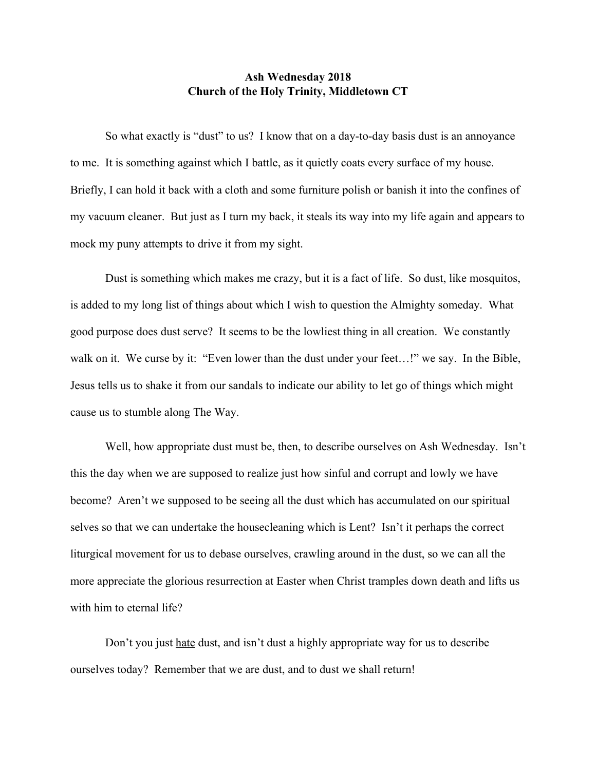## **Ash Wednesday 2018 Church of the Holy Trinity, Middletown CT**

So what exactly is "dust" to us? I know that on a day-to-day basis dust is an annoyance to me. It is something against which I battle, as it quietly coats every surface of my house. Briefly, I can hold it back with a cloth and some furniture polish or banish it into the confines of my vacuum cleaner. But just as I turn my back, it steals its way into my life again and appears to mock my puny attempts to drive it from my sight.

Dust is something which makes me crazy, but it is a fact of life. So dust, like mosquitos, is added to my long list of things about which I wish to question the Almighty someday. What good purpose does dust serve? It seems to be the lowliest thing in all creation. We constantly walk on it. We curse by it: "Even lower than the dust under your feet...!" we say. In the Bible, Jesus tells us to shake it from our sandals to indicate our ability to let go of things which might cause us to stumble along The Way.

Well, how appropriate dust must be, then, to describe ourselves on Ash Wednesday. Isn't this the day when we are supposed to realize just how sinful and corrupt and lowly we have become? Aren't we supposed to be seeing all the dust which has accumulated on our spiritual selves so that we can undertake the housecleaning which is Lent? Isn't it perhaps the correct liturgical movement for us to debase ourselves, crawling around in the dust, so we can all the more appreciate the glorious resurrection at Easter when Christ tramples down death and lifts us with him to eternal life?

Don't you just hate dust, and isn't dust a highly appropriate way for us to describe ourselves today? Remember that we are dust, and to dust we shall return!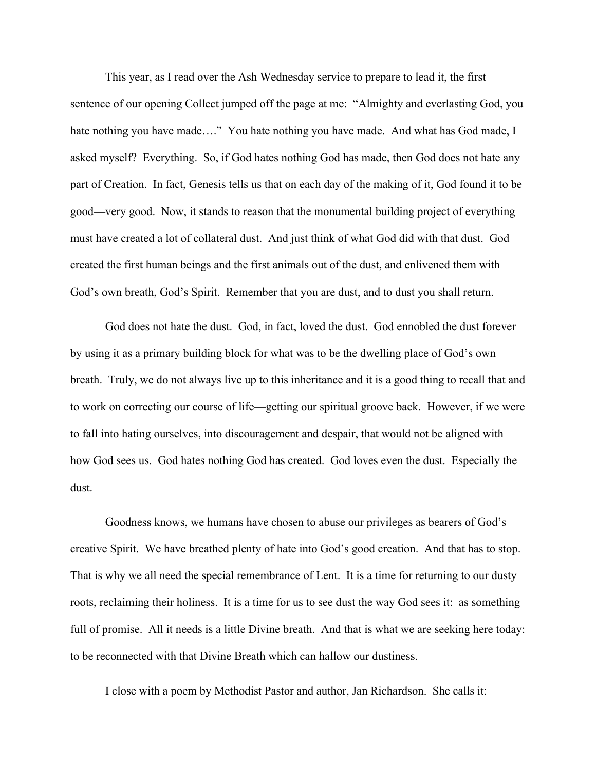This year, as I read over the Ash Wednesday service to prepare to lead it, the first sentence of our opening Collect jumped off the page at me: "Almighty and everlasting God, you hate nothing you have made...." You hate nothing you have made. And what has God made, I asked myself? Everything. So, if God hates nothing God has made, then God does not hate any part of Creation. In fact, Genesis tells us that on each day of the making of it, God found it to be good—very good. Now, it stands to reason that the monumental building project of everything must have created a lot of collateral dust. And just think of what God did with that dust. God created the first human beings and the first animals out of the dust, and enlivened them with God's own breath, God's Spirit. Remember that you are dust, and to dust you shall return.

God does not hate the dust. God, in fact, loved the dust. God ennobled the dust forever by using it as a primary building block for what was to be the dwelling place of God's own breath. Truly, we do not always live up to this inheritance and it is a good thing to recall that and to work on correcting our course of life—getting our spiritual groove back. However, if we were to fall into hating ourselves, into discouragement and despair, that would not be aligned with how God sees us. God hates nothing God has created. God loves even the dust. Especially the dust.

Goodness knows, we humans have chosen to abuse our privileges as bearers of God's creative Spirit. We have breathed plenty of hate into God's good creation. And that has to stop. That is why we all need the special remembrance of Lent. It is a time for returning to our dusty roots, reclaiming their holiness. It is a time for us to see dust the way God sees it: as something full of promise. All it needs is a little Divine breath. And that is what we are seeking here today: to be reconnected with that Divine Breath which can hallow our dustiness.

I close with a poem by Methodist Pastor and author, Jan Richardson. She calls it: